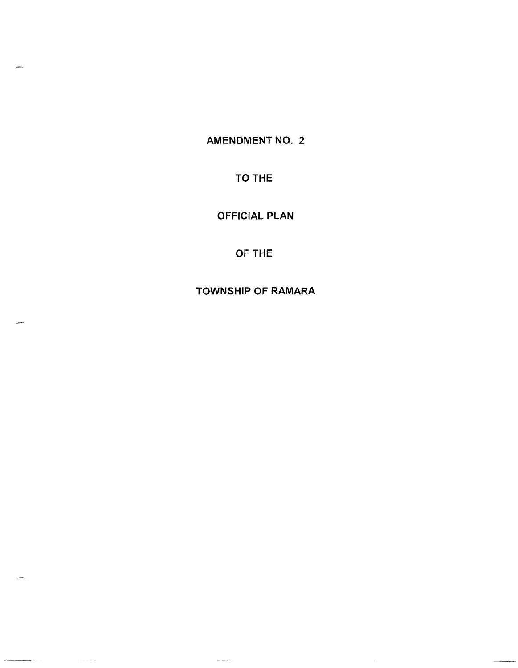AMENDMENT NO. 2

TO THE

OFFICIAL PLAN

OFTHE

TOWNSHIP OF RAMARA

 $\sim$  decreases as  $\sim$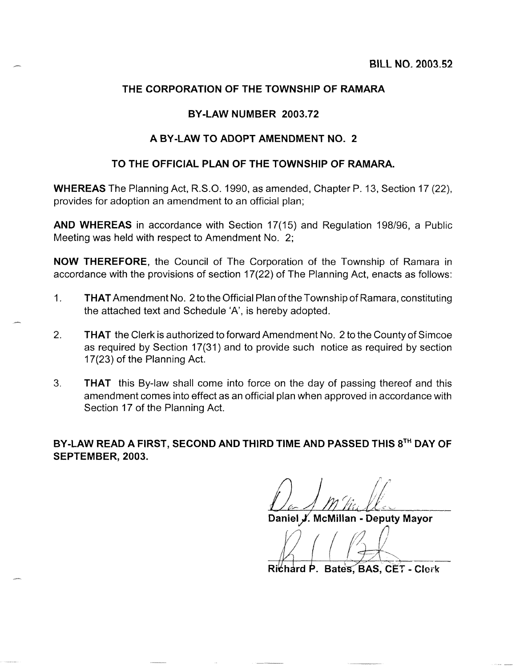## **THE CORPORATION OF THE TOWNSHIP OF RAMARA**

#### **BY-LAW NUMBER 2003.72**

#### **A BY -LAW TO ADOPT AMENDMENT NO. 2**

#### **TO THE OFFICIAL PLAN OF THE TOWNSHIP OF RAMARA.**

**WHEREAS** The Planning Act, R.S.O. 1990, as amended, Chapter P. 13, Section **17** (22), provides for adoption an amendment to an official plan;

**AND WHEREAS** in accordance with Section 17(15) and Regulation 198/96, a Public Meeting was held with respect to Amendment No.2;

**NOW THEREFORE,** the Council of The Corporation of the Township of Ramara in accordance with the provisions of section 17(22) of The Planning Act, enacts as follows:

- 1. **THAT** Amendment No.2 to the Official Plan of the Township of Ramara, constituting the attached text and Schedule 'A', is hereby adopted.
- 2. **THAT** the Clerk is authorized to forward Amendment No.2 to the County of Simcoe as required by Section 17(31) and to provide such notice as required by section 17 (23) of the Planning Act.
- 3. **THAT** this By-law shall come into force on the day of passing thereof and this amendment comes into effect as an official plan when approved in accordance with Section 17 of the Planning Act.

**BY-LAW READ A FIRST, SECOND AND THIRD TIME AND PASSED THIS** 8TH **DAY OF SEPTEMBER, 2003.** 

Daniel J. McMillan - Deputy Mayor

Richard P. Bates, BAS, CET - Clerk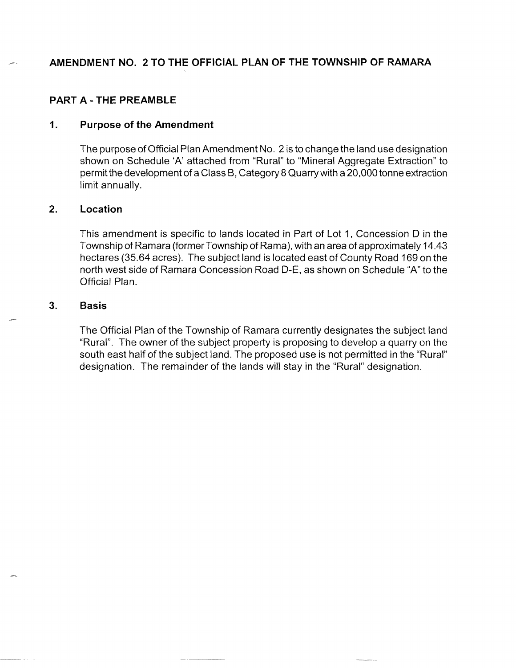# **AMENDMENT NO. 2 TO THE OFFICIAL PLAN OF THE TOWNSHIP OF RAMARA**

## **PART A - THE PREAMBLE**

### **1. Purpose of the Amendment**

The purpose of Official Plan Amendment No.2 is to change the land use designation shown on Schedule 'A' attached from "Rural" to "Mineral Aggregate Extraction" to permit the development of a Class B, Category 8 Quarry with a 20,000 tonne extraction limit annually.

### **2. Location**

This amendment is specific to lands located in Part of Lot 1, Concession 0 in the Township of Ramara (former Township of Rama), with an area of approximately 14.43 hectares (35.64 acres). The subject land is located east of County Road 169 on the north west side of Ramara Concession Road D-E, as shown on Schedule "A" to the Official Plan.

#### **3. Basis**

The Official Plan of the Township of Ramara currently designates the subject land "Rural". The owner of the subject property is proposing to develop a quarry on the south east half of the subject land. The proposed use is not permitted in the "Rural" designation. The remainder of the lands will stay in the "Rural" designation.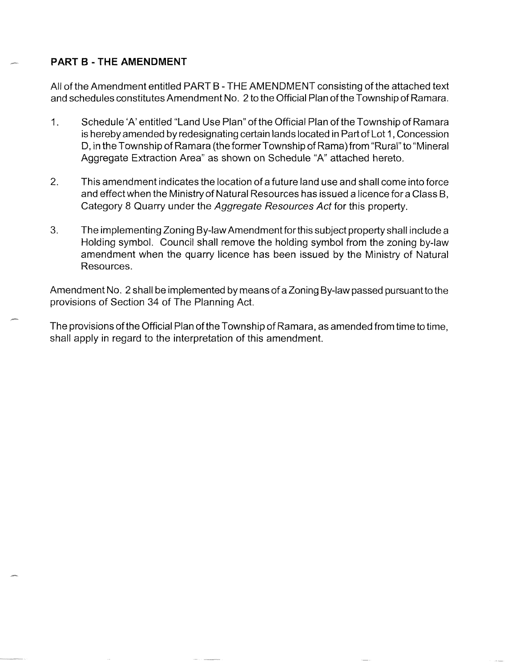# **PART B - THE AMENDMENT**

All of the Amendment entitled PART B - THE AMENDMENT consisting of the attached text and schedules constitutes Amendment No. 2 to the Official Plan of the Township of Ramara.

- 1. Schedule 'A' entitled "Land Use Plan" of the Official Plan of the Township of Ramara is hereby amended by redesignating certain lands located in Part of Lot 1 , Concession 0, in the Township of Ramara (the former Township of Rama) from "Rural" to "Mineral Aggregate Extraction Area" as shown on Schedule "A" attached hereto.
- 2. This amendment indicates the location of a future land use and shall come into force and effect when the Ministry of Natural Resources has issued a licence fora Class B, Category 8 Quarry under the Aggregate Resources Act for this property.
- 3. The implementing Zoning By-law Amendment for this subject property shall include a Holding symbol. Council shall remove the holding symbol from the zoning by-law amendment when the quarry licence has been issued by the Ministry of Natural Resources.

Amendment No. 2 shall be implemented by means of a Zoning By-law passed pursuant to the provisions of Section 34 of The Planning Act.

The provisions of the Official Plan of the Township of Ramara, as amended from time to time, shall apply in regard to the interpretation of this amendment.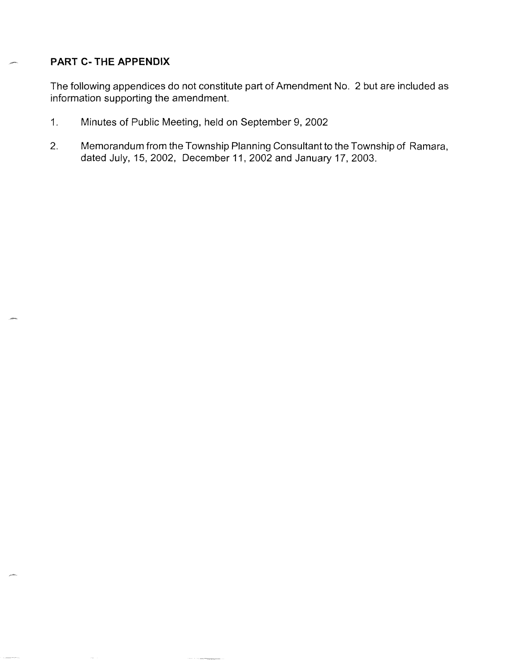# **PART C- THE APPENDIX**

The following appendices do not constitute part of Amendment No. 2 but are included as information supporting the amendment.

- 1. Minutes of Public Meeting, held on September 9, 2002
- 2. Memorandum from the Township Planning Consultant to the Township of Ramara, dated July, 15, 2002, December 11,2002 and January 17, 2003.